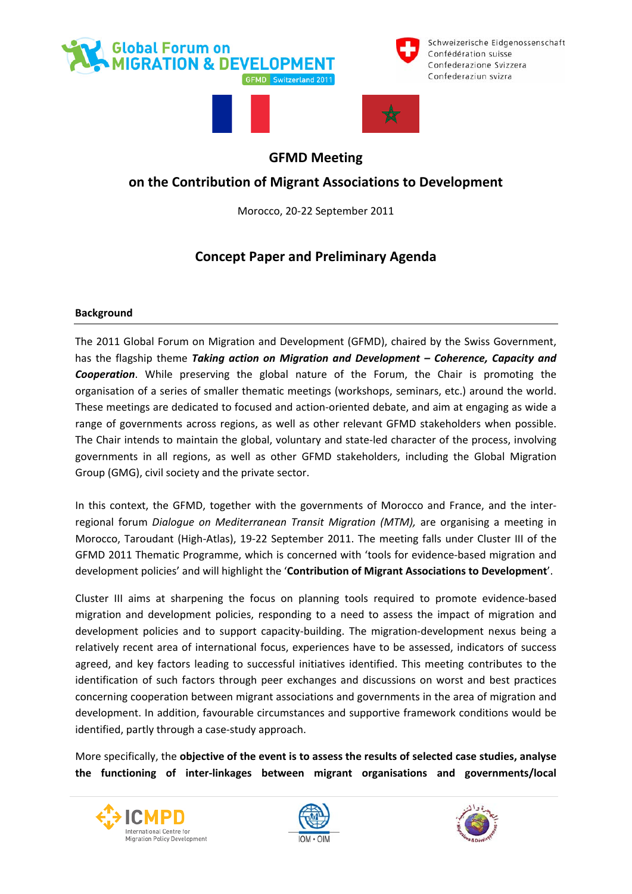



Schweizerische Eidgenossenschaft Confédération suisse Confederazione Svizzera Confederaziun svizra





# **GFMD Meeting**

# **on the Contribution of Migrant Associations to Development**

Morocco, 20‐22 September 2011

# **Concept Paper and Preliminary Agenda**

## **Background**

The 2011 Global Forum on Migration and Development (GFMD), chaired by the Swiss Government, has the flagship theme *Taking action on Migration and Development – Coherence, Capacity and Cooperation*. While preserving the global nature of the Forum, the Chair is promoting the organisation of a series of smaller thematic meetings (workshops, seminars, etc.) around the world. These meetings are dedicated to focused and action‐oriented debate, and aim at engaging as wide a range of governments across regions, as well as other relevant GFMD stakeholders when possible. The Chair intends to maintain the global, voluntary and state‐led character of the process, involving governments in all regions, as well as other GFMD stakeholders, including the Global Migration Group (GMG), civil society and the private sector.

In this context, the GFMD, together with the governments of Morocco and France, and the inter‐ regional forum *Dialogue on Mediterranean Transit Migration (MTM),* are organising a meeting in Morocco, Taroudant (High‐Atlas), 19‐22 September 2011. The meeting falls under Cluster III of the GFMD 2011 Thematic Programme, which is concerned with 'tools for evidence‐based migration and development policies' and will highlight the '**Contribution of Migrant Associations to Development**'.

Cluster III aims at sharpening the focus on planning tools required to promote evidence‐based migration and development policies, responding to a need to assess the impact of migration and development policies and to support capacity‐building. The migration‐development nexus being a relatively recent area of international focus, experiences have to be assessed, indicators of success agreed, and key factors leading to successful initiatives identified. This meeting contributes to the identification of such factors through peer exchanges and discussions on worst and best practices concerning cooperation between migrant associations and governments in the area of migration and development. In addition, favourable circumstances and supportive framework conditions would be identified, partly through a case‐study approach.

More specifically, the **objective of the event is to assess the results of selected case studies, analyse the functioning of inter‐linkages between migrant organisations and governments/local**





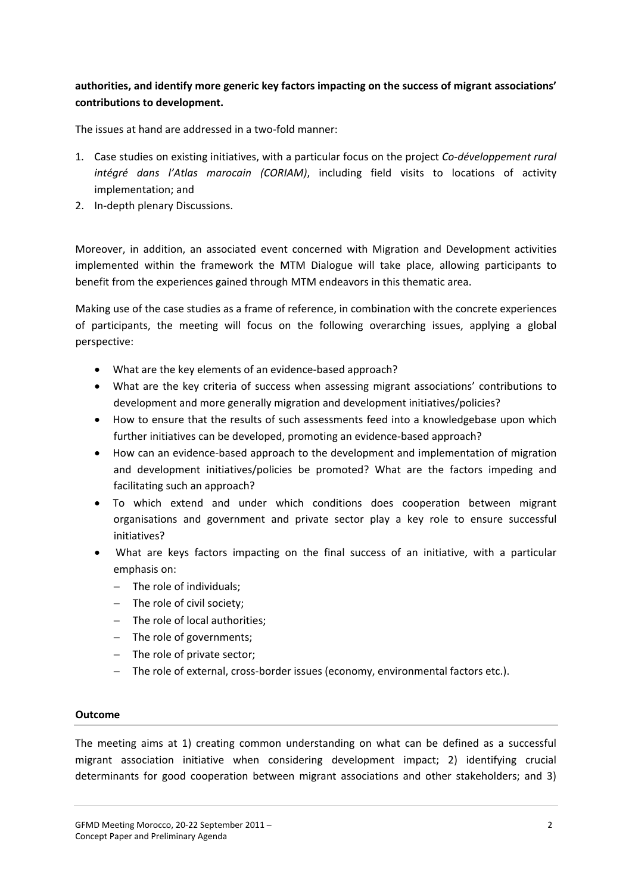## **authorities, and identify more generic key factors impacting on the success of migrant associations' contributions to development.**

The issues at hand are addressed in a two-fold manner:

- 1. Case studies on existing initiatives, with a particular focus on the project *Co‐développement rural intégré dans l'Atlas marocain (CORIAM)*, including field visits to locations of activity implementation; and
- 2. In‐depth plenary Discussions.

Moreover, in addition, an associated event concerned with Migration and Development activities implemented within the framework the MTM Dialogue will take place, allowing participants to benefit from the experiences gained through MTM endeavors in this thematic area.

Making use of the case studies as a frame of reference, in combination with the concrete experiences of participants, the meeting will focus on the following overarching issues, applying a global perspective:

- What are the key elements of an evidence‐based approach?
- What are the key criteria of success when assessing migrant associations' contributions to development and more generally migration and development initiatives/policies?
- How to ensure that the results of such assessments feed into a knowledgebase upon which further initiatives can be developed, promoting an evidence-based approach?
- How can an evidence‐based approach to the development and implementation of migration and development initiatives/policies be promoted? What are the factors impeding and facilitating such an approach?
- To which extend and under which conditions does cooperation between migrant organisations and government and private sector play a key role to ensure successful initiatives?
- What are keys factors impacting on the final success of an initiative, with a particular emphasis on:
	- − The role of individuals;
	- − The role of civil society;
	- − The role of local authorities;
	- − The role of governments;
	- − The role of private sector;
	- − The role of external, cross‐border issues (economy, environmental factors etc.).

### **Outcome**

The meeting aims at 1) creating common understanding on what can be defined as a successful migrant association initiative when considering development impact; 2) identifying crucial determinants for good cooperation between migrant associations and other stakeholders; and 3)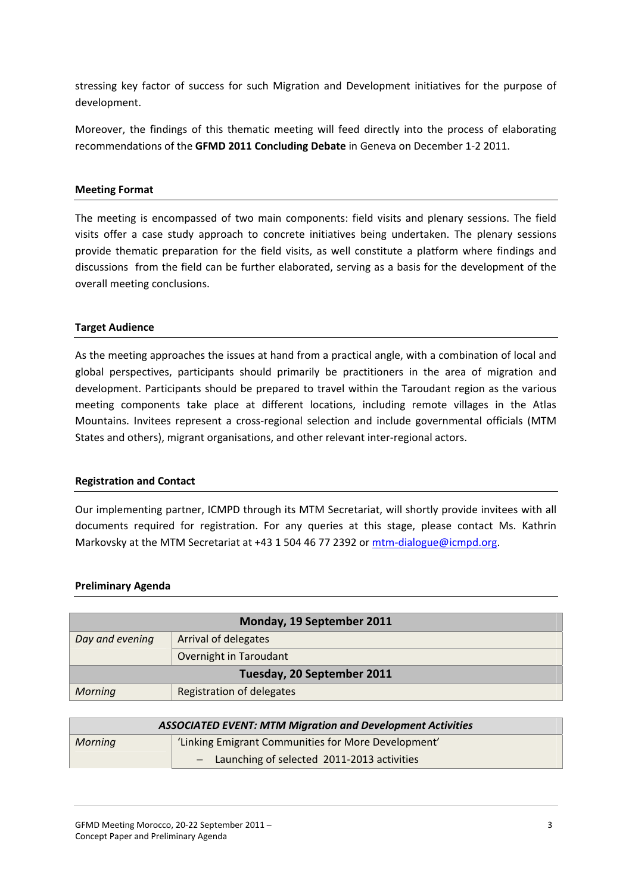stressing key factor of success for such Migration and Development initiatives for the purpose of development.

Moreover, the findings of this thematic meeting will feed directly into the process of elaborating recommendations of the **GFMD 2011 Concluding Debate** in Geneva on December 1‐2 2011.

### **Meeting Format**

The meeting is encompassed of two main components: field visits and plenary sessions. The field visits offer a case study approach to concrete initiatives being undertaken. The plenary sessions provide thematic preparation for the field visits, as well constitute a platform where findings and discussions from the field can be further elaborated, serving as a basis for the development of the overall meeting conclusions.

#### **Target Audience**

As the meeting approaches the issues at hand from a practical angle, with a combination of local and global perspectives, participants should primarily be practitioners in the area of migration and development. Participants should be prepared to travel within the Taroudant region as the various meeting components take place at different locations, including remote villages in the Atlas Mountains. Invitees represent a cross-regional selection and include governmental officials (MTM States and others), migrant organisations, and other relevant inter‐regional actors.

#### **Registration and Contact**

Our implementing partner, ICMPD through its MTM Secretariat, will shortly provide invitees with all documents required for registration. For any queries at this stage, please contact Ms. Kathrin Markovsky at the MTM Secretariat at +43 1 504 46 77 2392 or mtm-[dialogue@icmpd.org](mailto:mtm-dialogue@icmpd.org).

#### **Preliminary Agenda**

| Monday, 19 September 2011  |                           |  |
|----------------------------|---------------------------|--|
|                            |                           |  |
| Day and evening            | Arrival of delegates      |  |
|                            |                           |  |
|                            | Overnight in Taroudant    |  |
| Tuesday, 20 September 2011 |                           |  |
|                            |                           |  |
| Morning                    | Registration of delegates |  |

| <b>ASSOCIATED EVENT: MTM Migration and Development Activities</b> |                                                     |
|-------------------------------------------------------------------|-----------------------------------------------------|
| Morning                                                           | 'Linking Emigrant Communities for More Development' |
|                                                                   | - Launching of selected 2011-2013 activities        |